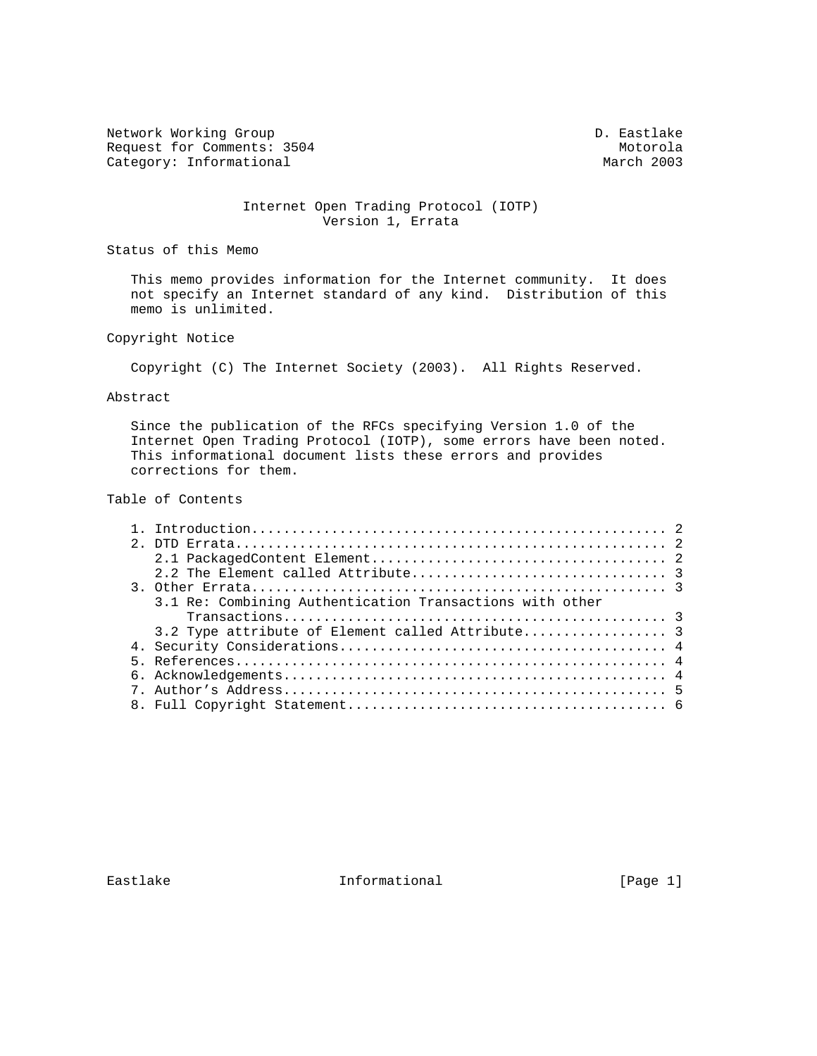Network Working Group and the control of the control of the D. Eastlake Request for Comments: 3504 Motorola<br>
Category: Informational March 2003 Category: Informational

### Internet Open Trading Protocol (IOTP) Version 1, Errata

Status of this Memo

 This memo provides information for the Internet community. It does not specify an Internet standard of any kind. Distribution of this memo is unlimited.

## Copyright Notice

Copyright (C) The Internet Society (2003). All Rights Reserved.

#### Abstract

 Since the publication of the RFCs specifying Version 1.0 of the Internet Open Trading Protocol (IOTP), some errors have been noted. This informational document lists these errors and provides corrections for them.

### Table of Contents

|  | 3.1 Re: Combining Authentication Transactions with other |  |
|--|----------------------------------------------------------|--|
|  |                                                          |  |
|  | 3.2 Type attribute of Element called Attribute 3         |  |
|  |                                                          |  |
|  |                                                          |  |
|  |                                                          |  |
|  |                                                          |  |
|  |                                                          |  |

Eastlake Informational [Page 1]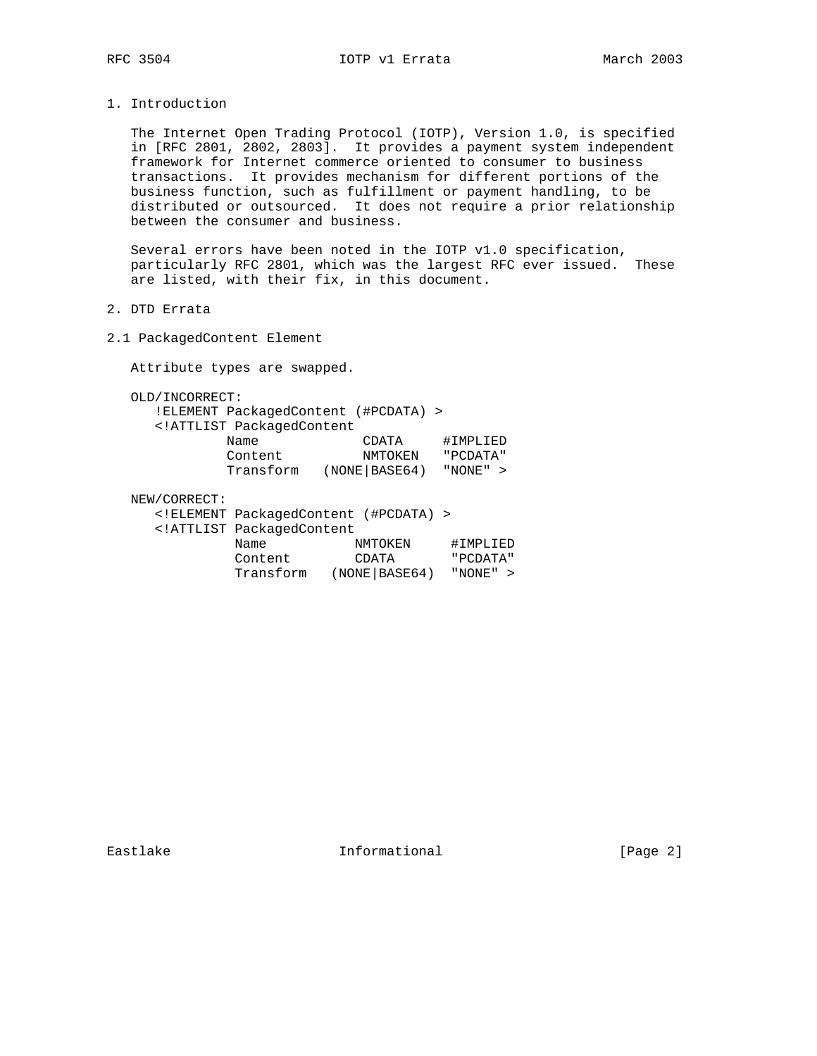1. Introduction

 The Internet Open Trading Protocol (IOTP), Version 1.0, is specified in [RFC 2801, 2802, 2803]. It provides a payment system independent framework for Internet commerce oriented to consumer to business transactions. It provides mechanism for different portions of the business function, such as fulfillment or payment handling, to be distributed or outsourced. It does not require a prior relationship between the consumer and business.

 Several errors have been noted in the IOTP v1.0 specification, particularly RFC 2801, which was the largest RFC ever issued. These are listed, with their fix, in this document.

- 2. DTD Errata
- 2.1 PackagedContent Element

Attribute types are swapped.

OLD/INCORRECT:

|                                                 | !ELEMENT PackagedContent (#PCDATA) > |           |
|-------------------------------------------------|--------------------------------------|-----------|
| ATTLIST PackagedContent</td <td></td> <td></td> |                                      |           |
| Name                                            | CDATA                                | #IMPLIED  |
| Content                                         | NMTOKEN                              | " PCDATA" |
| Transform                                       | (NOTE   BASE64)                      | "NONE" >  |
|                                                 |                                      |           |

#### NEW/CORRECT:

|                                                 | ELEMENT PackagedContent (#PCDATA) |           |
|-------------------------------------------------|-----------------------------------|-----------|
| ATTLIST PackagedContent</th <th></th> <th></th> |                                   |           |
| Name                                            | NMTOKEN                           | #IMPLIED  |
| Content                                         | CDATA                             | " PCDATA" |
| Transform                                       | (NOTE   BASE64)                   | "NONE" >  |

Eastlake Informational [Page 2]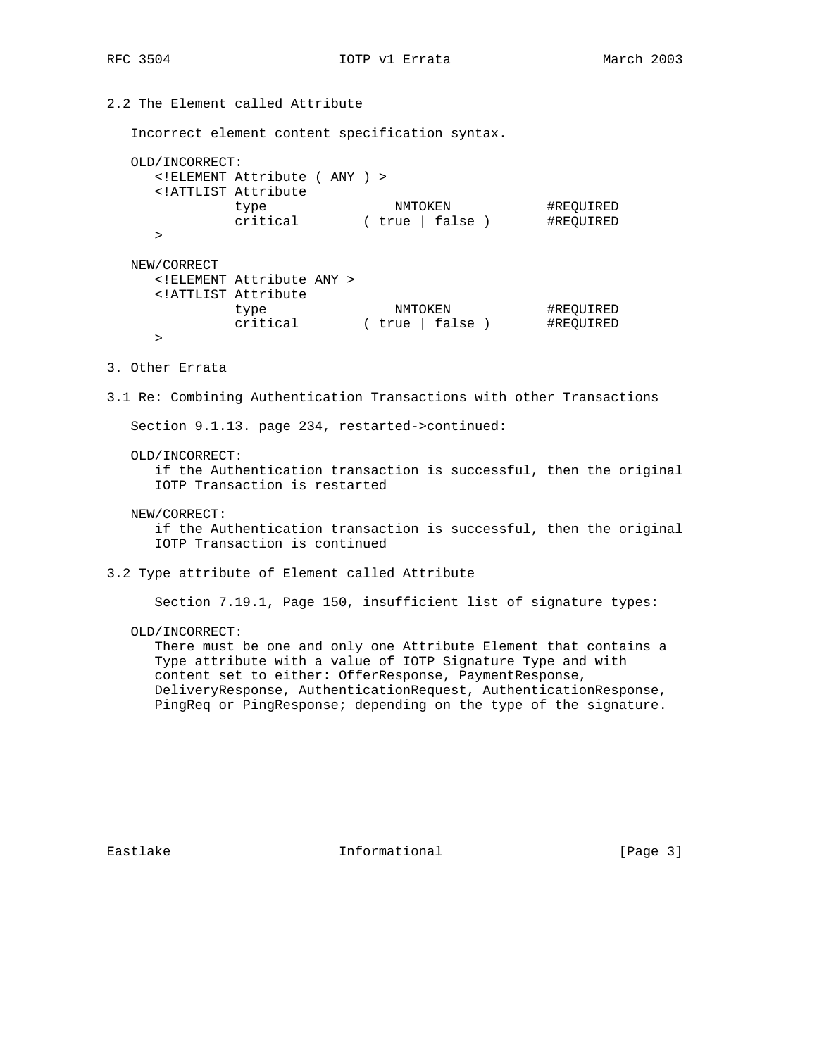# RFC 3504 **IOTP** v1 Errata March 2003

# 2.2 The Element called Attribute

Incorrect element content specification syntax.

```
 OLD/INCORRECT:
    <!ELEMENT Attribute ( ANY ) >
    <!ATTLIST Attribute
type NMTOKEN #REQUIRED
 critical ( true | false ) #REQUIRED
   > NEW/CORRECT
    <!ELEMENT Attribute ANY >
    <!ATTLIST Attribute
 type NMTOKEN #REQUIRED
 critical ( true | false ) #REQUIRED
    >
```
- 3. Other Errata
- 3.1 Re: Combining Authentication Transactions with other Transactions

Section 9.1.13. page 234, restarted->continued:

OLD/INCORRECT:

 if the Authentication transaction is successful, then the original IOTP Transaction is restarted

NEW/CORRECT:

 if the Authentication transaction is successful, then the original IOTP Transaction is continued

3.2 Type attribute of Element called Attribute

Section 7.19.1, Page 150, insufficient list of signature types:

OLD/INCORRECT:

 There must be one and only one Attribute Element that contains a Type attribute with a value of IOTP Signature Type and with content set to either: OfferResponse, PaymentResponse, DeliveryResponse, AuthenticationRequest, AuthenticationResponse, PingReq or PingResponse; depending on the type of the signature.

Eastlake Informational [Page 3]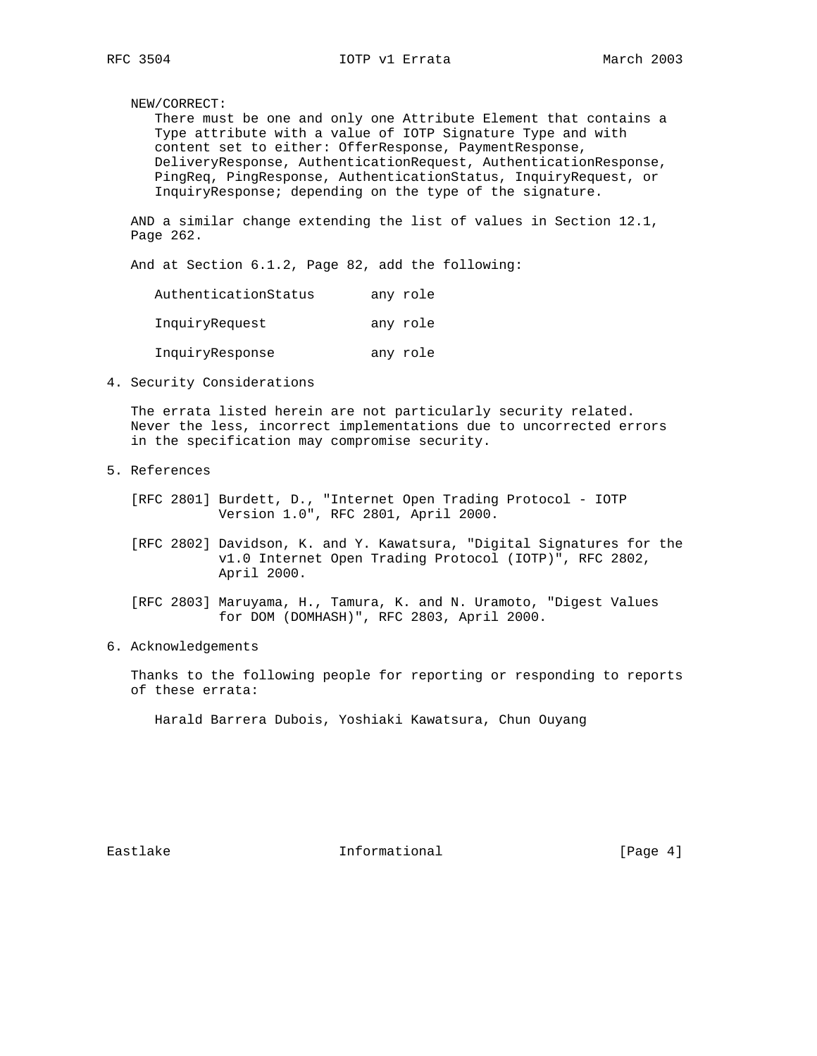NEW/CORRECT:

 There must be one and only one Attribute Element that contains a Type attribute with a value of IOTP Signature Type and with content set to either: OfferResponse, PaymentResponse, DeliveryResponse, AuthenticationRequest, AuthenticationResponse, PingReq, PingResponse, AuthenticationStatus, InquiryRequest, or InquiryResponse; depending on the type of the signature.

 AND a similar change extending the list of values in Section 12.1, Page 262.

And at Section 6.1.2, Page 82, add the following:

| AuthenticationStatus | any role |
|----------------------|----------|
| InquiryRequest       | any role |
| InquiryResponse      | any role |

4. Security Considerations

 The errata listed herein are not particularly security related. Never the less, incorrect implementations due to uncorrected errors in the specification may compromise security.

5. References

 [RFC 2801] Burdett, D., "Internet Open Trading Protocol - IOTP Version 1.0", RFC 2801, April 2000.

 [RFC 2802] Davidson, K. and Y. Kawatsura, "Digital Signatures for the v1.0 Internet Open Trading Protocol (IOTP)", RFC 2802, April 2000.

 [RFC 2803] Maruyama, H., Tamura, K. and N. Uramoto, "Digest Values for DOM (DOMHASH)", RFC 2803, April 2000.

6. Acknowledgements

 Thanks to the following people for reporting or responding to reports of these errata:

Harald Barrera Dubois, Yoshiaki Kawatsura, Chun Ouyang

Eastlake **Informational** Informational [Page 4]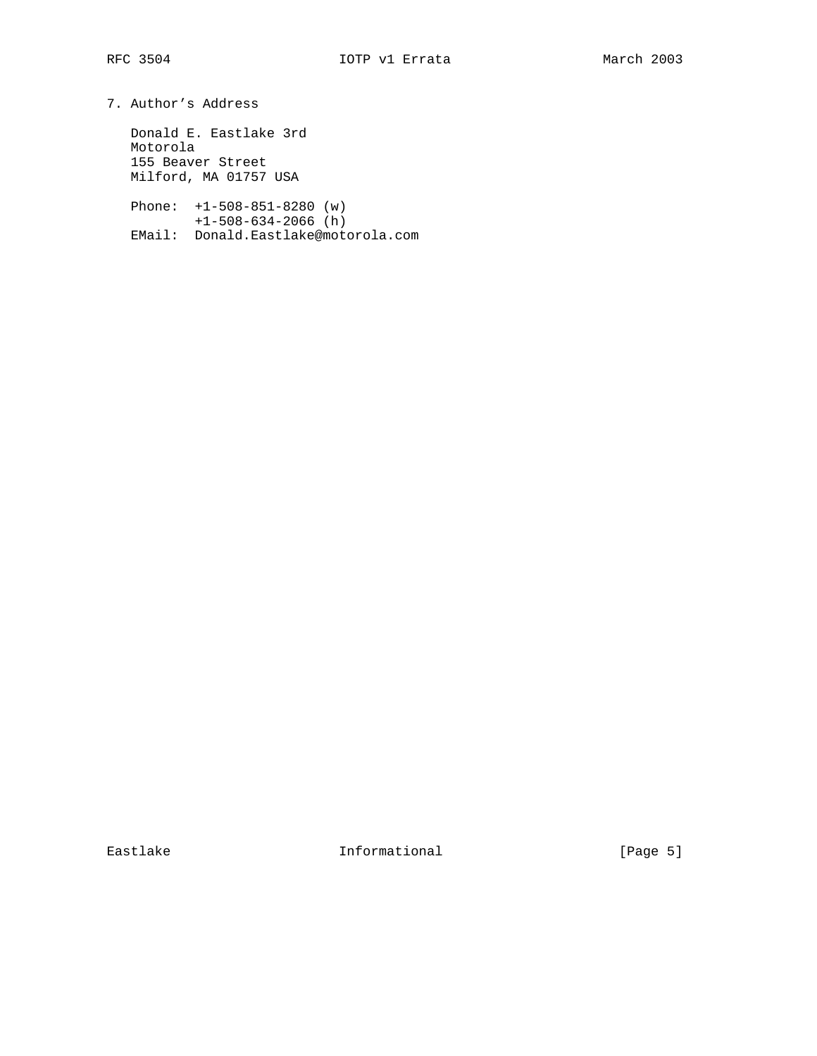7. Author's Address

 Donald E. Eastlake 3rd Motorola 155 Beaver Street Milford, MA 01757 USA

 Phone: +1-508-851-8280 (w) +1-508-634-2066 (h) EMail: Donald.Eastlake@motorola.com

Eastlake Informational [Page 5]